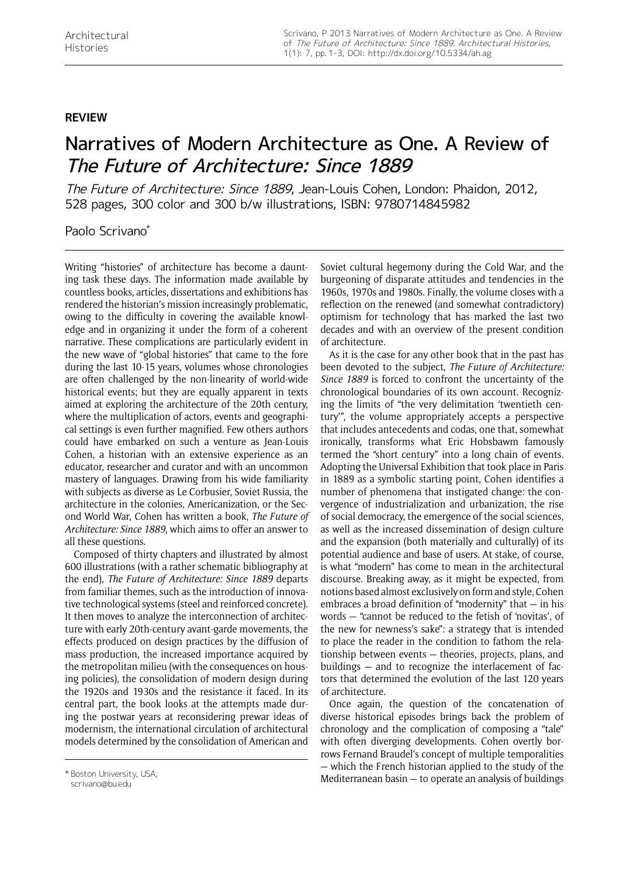## **review**

## Narratives of Modern Architecture as One. A Review of The Future of Architecture: Since 1889

The Future of Architecture: Since 1889, Jean-Louis Cohen, London: Phaidon, 2012, 528 pages, 300 color and 300 b/w illustrations, ISBN: 9780714845982

## Paolo Scrivano\*

Writing "histories" of architecture has become a daunting task these days. The information made available by countless books, articles, dissertations and exhibitions has rendered the historian's mission increasingly problematic, owing to the difficulty in covering the available knowledge and in organizing it under the form of a coherent narrative. These complications are particularly evident in the new wave of "global histories" that came to the fore during the last 10-15 years, volumes whose chronologies are often challenged by the non-linearity of world-wide historical events; but they are equally apparent in texts aimed at exploring the architecture of the 20th century, where the multiplication of actors, events and geographical settings is even further magnified. Few others authors could have embarked on such a venture as Jean-Louis Cohen, a historian with an extensive experience as an educator, researcher and curator and with an uncommon mastery of languages. Drawing from his wide familiarity with subjects as diverse as Le Corbusier, Soviet Russia, the architecture in the colonies, Americanization, or the Second World War, Cohen has written a book, *The Future of Architecture: Since 1889*, which aims to offer an answer to all these questions.

Composed of thirty chapters and illustrated by almost 600 illustrations (with a rather schematic bibliography at the end), *The Future of Architecture: Since 1889* departs from familiar themes, such as the introduction of innovative technological systems (steel and reinforced concrete). It then moves to analyze the interconnection of architecture with early 20th-century avant-garde movements, the effects produced on design practices by the diffusion of mass production, the increased importance acquired by the metropolitan milieu (with the consequences on housing policies), the consolidation of modern design during the 1920s and 1930s and the resistance it faced. In its central part, the book looks at the attempts made during the postwar years at reconsidering prewar ideas of modernism, the international circulation of architectural models determined by the consolidation of American and

Soviet cultural hegemony during the Cold War, and the burgeoning of disparate attitudes and tendencies in the 1960s, 1970s and 1980s. Finally, the volume closes with a reflection on the renewed (and somewhat contradictory) optimism for technology that has marked the last two decades and with an overview of the present condition of architecture.

As it is the case for any other book that in the past has been devoted to the subject, *The Future of Architecture: Since 1889* is forced to confront the uncertainty of the chronological boundaries of its own account. Recognizing the limits of "the very delimitation 'twentieth century'", the volume appropriately accepts a perspective that includes antecedents and codas, one that, somewhat ironically, transforms what Eric Hobsbawm famously termed the "short century" into a long chain of events. Adopting the Universal Exhibition that took place in Paris in 1889 as a symbolic starting point, Cohen identifies a number of phenomena that instigated change: the convergence of industrialization and urbanization, the rise of social democracy, the emergence of the social sciences, as well as the increased dissemination of design culture and the expansion (both materially and culturally) of its potential audience and base of users. At stake, of course, is what "modern" has come to mean in the architectural discourse. Breaking away, as it might be expected, from notions based almost exclusively on form and style, Cohen embraces a broad definition of "modernity" that — in his words — "cannot be reduced to the fetish of 'novitas', of the new for newness's sake": a strategy that is intended to place the reader in the condition to fathom the relationship between events — theories, projects, plans, and buildings — and to recognize the interlacement of factors that determined the evolution of the last 120 years of architecture.

Once again, the question of the concatenation of diverse historical episodes brings back the problem of chronology and the complication of composing a "tale" with often diverging developments. Cohen overtly borrows Fernand Braudel's concept of multiple temporalities — which the French historian applied to the study of the Mediterranean basin — to operate an analysis of buildings \* Boston University, USA,

scrivano@bu.edu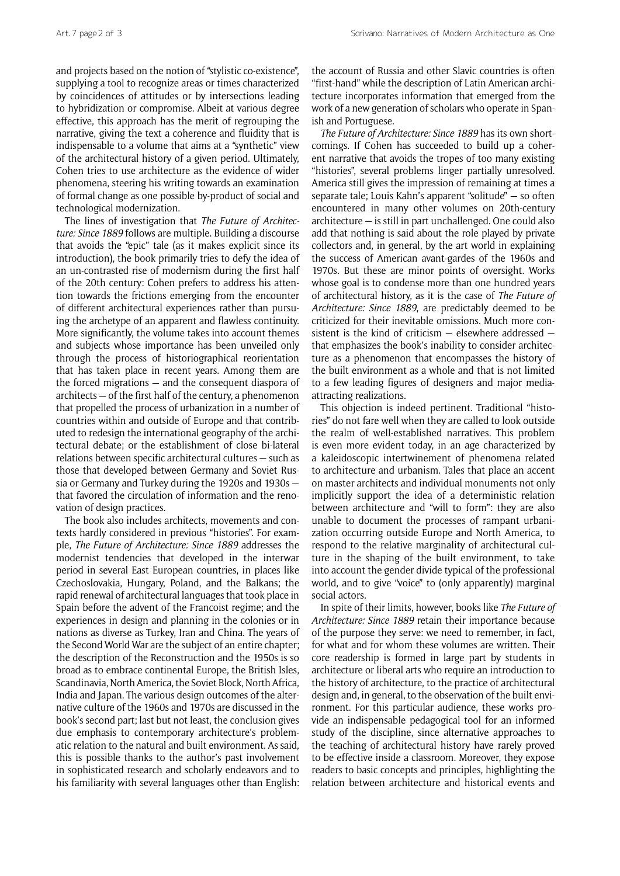and projects based on the notion of "stylistic co-existence", supplying a tool to recognize areas or times characterized by coincidences of attitudes or by intersections leading to hybridization or compromise. Albeit at various degree effective, this approach has the merit of regrouping the narrative, giving the text a coherence and fluidity that is indispensable to a volume that aims at a "synthetic" view of the architectural history of a given period. Ultimately, Cohen tries to use architecture as the evidence of wider phenomena, steering his writing towards an examination of formal change as one possible by-product of social and technological modernization.

The lines of investigation that *The Future of Architecture: Since 1889* follows are multiple. Building a discourse that avoids the "epic" tale (as it makes explicit since its introduction), the book primarily tries to defy the idea of an un-contrasted rise of modernism during the first half of the 20th century: Cohen prefers to address his attention towards the frictions emerging from the encounter of different architectural experiences rather than pursuing the archetype of an apparent and flawless continuity. More significantly, the volume takes into account themes and subjects whose importance has been unveiled only through the process of historiographical reorientation that has taken place in recent years. Among them are the forced migrations — and the consequent diaspora of architects — of the first half of the century, a phenomenon that propelled the process of urbanization in a number of countries within and outside of Europe and that contributed to redesign the international geography of the architectural debate; or the establishment of close bi-lateral relations between specific architectural cultures — such as those that developed between Germany and Soviet Russia or Germany and Turkey during the 1920s and 1930s that favored the circulation of information and the renovation of design practices.

The book also includes architects, movements and contexts hardly considered in previous "histories". For example, *The Future of Architecture: Since 1889* addresses the modernist tendencies that developed in the interwar period in several East European countries, in places like Czechoslovakia, Hungary, Poland, and the Balkans; the rapid renewal of architectural languages that took place in Spain before the advent of the Francoist regime; and the experiences in design and planning in the colonies or in nations as diverse as Turkey, Iran and China. The years of the Second World War are the subject of an entire chapter; the description of the Reconstruction and the 1950s is so broad as to embrace continental Europe, the British Isles, Scandinavia, North America, the Soviet Block, North Africa, India and Japan. The various design outcomes of the alternative culture of the 1960s and 1970s are discussed in the book's second part; last but not least, the conclusion gives due emphasis to contemporary architecture's problematic relation to the natural and built environment. As said, this is possible thanks to the author's past involvement in sophisticated research and scholarly endeavors and to his familiarity with several languages other than English: the account of Russia and other Slavic countries is often "first-hand" while the description of Latin American architecture incorporates information that emerged from the work of a new generation of scholars who operate in Spanish and Portuguese.

*The Future of Architecture: Since 1889* has its own shortcomings. If Cohen has succeeded to build up a coherent narrative that avoids the tropes of too many existing "histories", several problems linger partially unresolved. America still gives the impression of remaining at times a separate tale; Louis Kahn's apparent "solitude" — so often encountered in many other volumes on 20th-century architecture — is still in part unchallenged. One could also add that nothing is said about the role played by private collectors and, in general, by the art world in explaining the success of American avant-gardes of the 1960s and 1970s. But these are minor points of oversight. Works whose goal is to condense more than one hundred years of architectural history, as it is the case of *The Future of Architecture: Since 1889*, are predictably deemed to be criticized for their inevitable omissions. Much more consistent is the kind of criticism — elsewhere addressed that emphasizes the book's inability to consider architecture as a phenomenon that encompasses the history of the built environment as a whole and that is not limited to a few leading figures of designers and major mediaattracting realizations.

This objection is indeed pertinent. Traditional "histories" do not fare well when they are called to look outside the realm of well-established narratives. This problem is even more evident today, in an age characterized by a kaleidoscopic intertwinement of phenomena related to architecture and urbanism. Tales that place an accent on master architects and individual monuments not only implicitly support the idea of a deterministic relation between architecture and "will to form": they are also unable to document the processes of rampant urbanization occurring outside Europe and North America, to respond to the relative marginality of architectural culture in the shaping of the built environment, to take into account the gender divide typical of the professional world, and to give "voice" to (only apparently) marginal social actors.

In spite of their limits, however, books like *The Future of Architecture: Since 1889* retain their importance because of the purpose they serve: we need to remember, in fact, for what and for whom these volumes are written. Their core readership is formed in large part by students in architecture or liberal arts who require an introduction to the history of architecture, to the practice of architectural design and, in general, to the observation of the built environment. For this particular audience, these works provide an indispensable pedagogical tool for an informed study of the discipline, since alternative approaches to the teaching of architectural history have rarely proved to be effective inside a classroom. Moreover, they expose readers to basic concepts and principles, highlighting the relation between architecture and historical events and